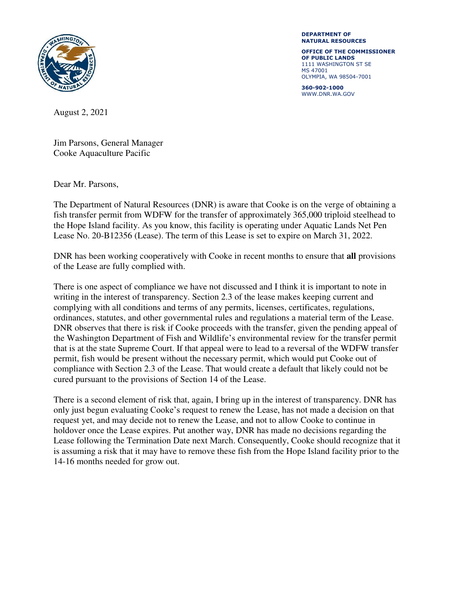

**DEPARTMENT OF NATURAL RESOURCES** 

**OFFICE OF THE COMMISSIONER OF PUBLIC LANDS**  1111 WASHINGTON ST SE MS 47001 OLYMPIA, WA 98504-7001

**360-902-1000**  WWW.DNR.WA.GOV

August 2, 2021

Jim Parsons, General Manager Cooke Aquaculture Pacific

Dear Mr. Parsons,

The Department of Natural Resources (DNR) is aware that Cooke is on the verge of obtaining a fish transfer permit from WDFW for the transfer of approximately 365,000 triploid steelhead to the Hope Island facility. As you know, this facility is operating under Aquatic Lands Net Pen Lease No. 20-B12356 (Lease). The term of this Lease is set to expire on March 31, 2022.

DNR has been working cooperatively with Cooke in recent months to ensure that **all** provisions of the Lease are fully complied with.

There is one aspect of compliance we have not discussed and I think it is important to note in writing in the interest of transparency. Section 2.3 of the lease makes keeping current and complying with all conditions and terms of any permits, licenses, certificates, regulations, ordinances, statutes, and other governmental rules and regulations a material term of the Lease. DNR observes that there is risk if Cooke proceeds with the transfer, given the pending appeal of the Washington Department of Fish and Wildlife's environmental review for the transfer permit that is at the state Supreme Court. If that appeal were to lead to a reversal of the WDFW transfer permit, fish would be present without the necessary permit, which would put Cooke out of compliance with Section 2.3 of the Lease. That would create a default that likely could not be cured pursuant to the provisions of Section 14 of the Lease.

There is a second element of risk that, again, I bring up in the interest of transparency. DNR has only just begun evaluating Cooke's request to renew the Lease, has not made a decision on that request yet, and may decide not to renew the Lease, and not to allow Cooke to continue in holdover once the Lease expires. Put another way, DNR has made no decisions regarding the Lease following the Termination Date next March. Consequently, Cooke should recognize that it is assuming a risk that it may have to remove these fish from the Hope Island facility prior to the 14-16 months needed for grow out.